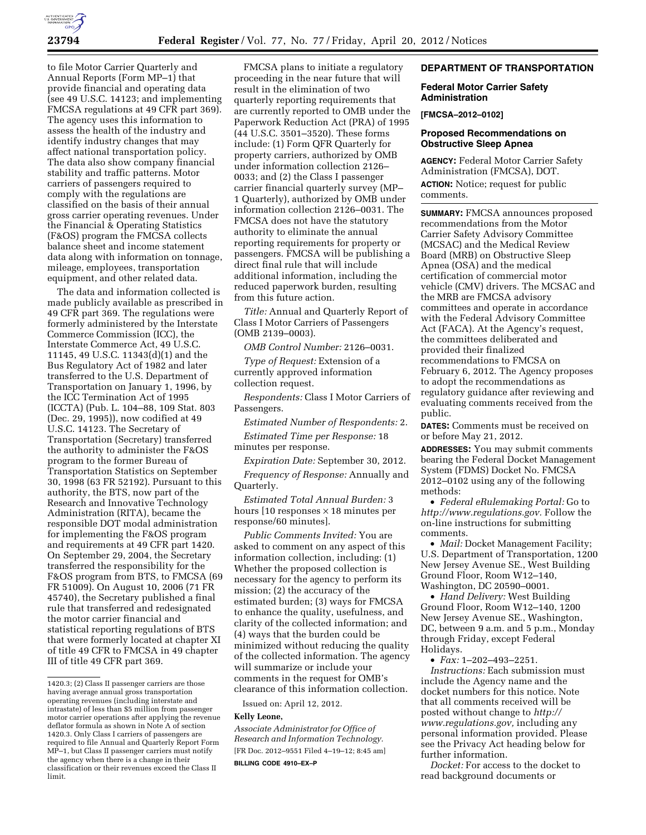

to file Motor Carrier Quarterly and Annual Reports (Form MP–1) that provide financial and operating data (see 49 U.S.C. 14123; and implementing FMCSA regulations at 49 CFR part 369). The agency uses this information to assess the health of the industry and identify industry changes that may affect national transportation policy. The data also show company financial stability and traffic patterns. Motor carriers of passengers required to comply with the regulations are classified on the basis of their annual gross carrier operating revenues. Under the Financial & Operating Statistics (F&OS) program the FMCSA collects balance sheet and income statement data along with information on tonnage, mileage, employees, transportation equipment, and other related data.

The data and information collected is made publicly available as prescribed in 49 CFR part 369. The regulations were formerly administered by the Interstate Commerce Commission (ICC), the Interstate Commerce Act, 49 U.S.C. 11145, 49 U.S.C. 11343(d)(1) and the Bus Regulatory Act of 1982 and later transferred to the U.S. Department of Transportation on January 1, 1996, by the ICC Termination Act of 1995 (ICCTA) (Pub. L. 104–88, 109 Stat. 803 (Dec. 29, 1995)), now codified at 49 U.S.C. 14123. The Secretary of Transportation (Secretary) transferred the authority to administer the F&OS program to the former Bureau of Transportation Statistics on September 30, 1998 (63 FR 52192). Pursuant to this authority, the BTS, now part of the Research and Innovative Technology Administration (RITA), became the responsible DOT modal administration for implementing the F&OS program and requirements at 49 CFR part 1420. On September 29, 2004, the Secretary transferred the responsibility for the F&OS program from BTS, to FMCSA (69 FR 51009). On August 10, 2006 (71 FR 45740), the Secretary published a final rule that transferred and redesignated the motor carrier financial and statistical reporting regulations of BTS that were formerly located at chapter XI of title 49 CFR to FMCSA in 49 chapter III of title 49 CFR part 369.

FMCSA plans to initiate a regulatory proceeding in the near future that will result in the elimination of two quarterly reporting requirements that are currently reported to OMB under the Paperwork Reduction Act (PRA) of 1995 (44 U.S.C. 3501–3520). These forms include: (1) Form QFR Quarterly for property carriers, authorized by OMB under information collection 2126– 0033; and (2) the Class I passenger carrier financial quarterly survey (MP– 1 Quarterly), authorized by OMB under information collection 2126–0031. The FMCSA does not have the statutory authority to eliminate the annual reporting requirements for property or passengers. FMCSA will be publishing a direct final rule that will include additional information, including the reduced paperwork burden, resulting from this future action.

*Title:* Annual and Quarterly Report of Class I Motor Carriers of Passengers (OMB 2139–0003).

*OMB Control Number:* 2126–0031.

*Type of Request:* Extension of a currently approved information collection request.

*Respondents:* Class I Motor Carriers of Passengers.

*Estimated Number of Respondents:* 2.

*Estimated Time per Response:* 18 minutes per response.

*Expiration Date:* September 30, 2012.

*Frequency of Response:* Annually and Quarterly.

*Estimated Total Annual Burden:* 3 hours  $[10$  responses  $\times$  18 minutes per response/60 minutes].

*Public Comments Invited:* You are asked to comment on any aspect of this information collection, including: (1) Whether the proposed collection is necessary for the agency to perform its mission; (2) the accuracy of the estimated burden; (3) ways for FMCSA to enhance the quality, usefulness, and clarity of the collected information; and (4) ways that the burden could be minimized without reducing the quality of the collected information. The agency will summarize or include your comments in the request for OMB's clearance of this information collection.

Issued on: April 12, 2012.

#### **Kelly Leone,**

*Associate Administrator for Office of Research and Information Technology.*  [FR Doc. 2012–9551 Filed 4–19–12; 8:45 am] **BILLING CODE 4910–EX–P** 

## **DEPARTMENT OF TRANSPORTATION**

### **Federal Motor Carrier Safety Administration**

# **[FMCSA–2012–0102]**

### **Proposed Recommendations on Obstructive Sleep Apnea**

**AGENCY:** Federal Motor Carrier Safety Administration (FMCSA), DOT. **ACTION:** Notice; request for public comments.

**SUMMARY:** FMCSA announces proposed recommendations from the Motor Carrier Safety Advisory Committee (MCSAC) and the Medical Review Board (MRB) on Obstructive Sleep Apnea (OSA) and the medical certification of commercial motor vehicle (CMV) drivers. The MCSAC and the MRB are FMCSA advisory committees and operate in accordance with the Federal Advisory Committee Act (FACA). At the Agency's request, the committees deliberated and provided their finalized recommendations to FMCSA on February 6, 2012. The Agency proposes to adopt the recommendations as regulatory guidance after reviewing and evaluating comments received from the public.

**DATES:** Comments must be received on or before May 21, 2012.

**ADDRESSES:** You may submit comments bearing the Federal Docket Management System (FDMS) Docket No. FMCSA 2012–0102 using any of the following methods:

• *Federal eRulemaking Portal:* Go to *[http://www.regulations.gov.](http://www.regulations.gov)* Follow the on-line instructions for submitting comments.

• *Mail:* Docket Management Facility; U.S. Department of Transportation, 1200 New Jersey Avenue SE., West Building Ground Floor, Room W12–140, Washington, DC 20590–0001.

• *Hand Delivery:* West Building Ground Floor, Room W12–140, 1200 New Jersey Avenue SE., Washington, DC, between 9 a.m. and 5 p.m., Monday through Friday, except Federal Holidays.

• *Fax:* 1–202–493–2251. *Instructions:* Each submission must include the Agency name and the docket numbers for this notice. Note that all comments received will be posted without change to *[http://](http://www.regulations.gov) [www.regulations.gov,](http://www.regulations.gov)* including any personal information provided. Please see the Privacy Act heading below for further information.

*Docket:* For access to the docket to read background documents or

<sup>1420.3; (2)</sup> Class II passenger carriers are those having average annual gross transportation operating revenues (including interstate and intrastate) of less than \$5 million from passenger motor carrier operations after applying the revenue deflator formula as shown in Note A of section 1420.3. Only Class I carriers of passengers are required to file Annual and Quarterly Report Form MP–1, but Class II passenger carriers must notify the agency when there is a change in their classification or their revenues exceed the Class II limit.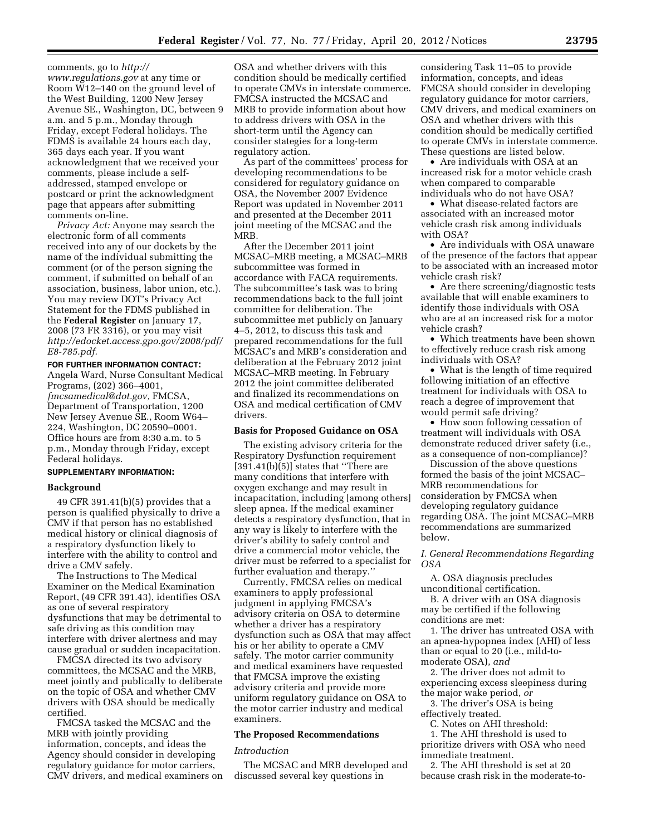comments, go to *[http://](http://www.regulations.gov) [www.regulations.gov](http://www.regulations.gov)* at any time or Room W12–140 on the ground level of the West Building, 1200 New Jersey Avenue SE., Washington, DC, between 9 a.m. and 5 p.m., Monday through Friday, except Federal holidays. The FDMS is available 24 hours each day, 365 days each year. If you want acknowledgment that we received your comments, please include a selfaddressed, stamped envelope or postcard or print the acknowledgment page that appears after submitting comments on-line.

*Privacy Act:* Anyone may search the electronic form of all comments received into any of our dockets by the name of the individual submitting the comment (or of the person signing the comment, if submitted on behalf of an association, business, labor union, etc.). You may review DOT's Privacy Act Statement for the FDMS published in the **Federal Register** on January 17, 2008 (73 FR 3316), or you may visit *[http://edocket.access.gpo.gov/2008/pdf/](http://edocket.access.gpo.gov/2008/pdf/E8-785.pdf) [E8-785.pdf.](http://edocket.access.gpo.gov/2008/pdf/E8-785.pdf)* 

## **FOR FURTHER INFORMATION CONTACT:**  Angela Ward, Nurse Consultant Medical Programs, (202) 366–4001,

*[fmcsamedical@dot.gov,](mailto:fmcsamedical@dot.gov)* FMCSA, Department of Transportation, 1200 New Jersey Avenue SE., Room W64– 224, Washington, DC 20590–0001. Office hours are from 8:30 a.m. to 5 p.m., Monday through Friday, except Federal holidays.

### **SUPPLEMENTARY INFORMATION:**

### **Background**

49 CFR 391.41(b)(5) provides that a person is qualified physically to drive a CMV if that person has no established medical history or clinical diagnosis of a respiratory dysfunction likely to interfere with the ability to control and drive a CMV safely.

The Instructions to The Medical Examiner on the Medical Examination Report, (49 CFR 391.43), identifies OSA as one of several respiratory dysfunctions that may be detrimental to safe driving as this condition may interfere with driver alertness and may cause gradual or sudden incapacitation.

FMCSA directed its two advisory committees, the MCSAC and the MRB, meet jointly and publically to deliberate on the topic of OSA and whether CMV drivers with OSA should be medically certified.

FMCSA tasked the MCSAC and the MRB with jointly providing information, concepts, and ideas the Agency should consider in developing regulatory guidance for motor carriers, CMV drivers, and medical examiners on

OSA and whether drivers with this condition should be medically certified to operate CMVs in interstate commerce. FMCSA instructed the MCSAC and MRB to provide information about how to address drivers with OSA in the short-term until the Agency can consider stategies for a long-term regulatory action.

As part of the committees' process for developing recommendations to be considered for regulatory guidance on OSA, the November 2007 Evidence Report was updated in November 2011 and presented at the December 2011 joint meeting of the MCSAC and the MRB.

After the December 2011 joint MCSAC–MRB meeting, a MCSAC–MRB subcommittee was formed in accordance with FACA requirements. The subcommittee's task was to bring recommendations back to the full joint committee for deliberation. The subcommittee met publicly on January 4–5, 2012, to discuss this task and prepared recommendations for the full MCSAC's and MRB's consideration and deliberation at the February 2012 joint MCSAC–MRB meeting. In February 2012 the joint committee deliberated and finalized its recommendations on OSA and medical certification of CMV drivers.

### **Basis for Proposed Guidance on OSA**

The existing advisory criteria for the Respiratory Dysfunction requirement  $[391.41(b)(5)]$  states that "There are many conditions that interfere with oxygen exchange and may result in incapacitation, including [among others] sleep apnea. If the medical examiner detects a respiratory dysfunction, that in any way is likely to interfere with the driver's ability to safely control and drive a commercial motor vehicle, the driver must be referred to a specialist for further evaluation and therapy.''

Currently, FMCSA relies on medical examiners to apply professional judgment in applying FMCSA's advisory criteria on OSA to determine whether a driver has a respiratory dysfunction such as OSA that may affect his or her ability to operate a CMV safely. The motor carrier community and medical examiners have requested that FMCSA improve the existing advisory criteria and provide more uniform regulatory guidance on OSA to the motor carrier industry and medical examiners.

### **The Proposed Recommendations**

### *Introduction*

The MCSAC and MRB developed and discussed several key questions in

considering Task 11–05 to provide information, concepts, and ideas FMCSA should consider in developing regulatory guidance for motor carriers, CMV drivers, and medical examiners on OSA and whether drivers with this condition should be medically certified to operate CMVs in interstate commerce. These questions are listed below.

• Are individuals with OSA at an increased risk for a motor vehicle crash when compared to comparable individuals who do not have OSA?

• What disease-related factors are associated with an increased motor vehicle crash risk among individuals with OSA?

• Are individuals with OSA unaware of the presence of the factors that appear to be associated with an increased motor vehicle crash risk?

• Are there screening/diagnostic tests available that will enable examiners to identify those individuals with OSA who are at an increased risk for a motor vehicle crash?

• Which treatments have been shown to effectively reduce crash risk among individuals with OSA?

• What is the length of time required following initiation of an effective treatment for individuals with OSA to reach a degree of improvement that would permit safe driving?

• How soon following cessation of treatment will individuals with OSA demonstrate reduced driver safety (i.e., as a consequence of non-compliance)?

Discussion of the above questions formed the basis of the joint MCSAC– MRB recommendations for consideration by FMCSA when developing regulatory guidance regarding OSA. The joint MCSAC–MRB recommendations are summarized below.

*I. General Recommendations Regarding OSA* 

A. OSA diagnosis precludes unconditional certification.

B. A driver with an OSA diagnosis may be certified if the following conditions are met:

1. The driver has untreated OSA with an apnea-hypopnea index (AHI) of less than or equal to 20 (i.e., mild-tomoderate OSA), *and* 

2. The driver does not admit to experiencing excess sleepiness during the major wake period, *or* 

3. The driver's OSA is being effectively treated.

C. Notes on AHI threshold:

1. The AHI threshold is used to prioritize drivers with OSA who need immediate treatment.

2. The AHI threshold is set at 20 because crash risk in the moderate-to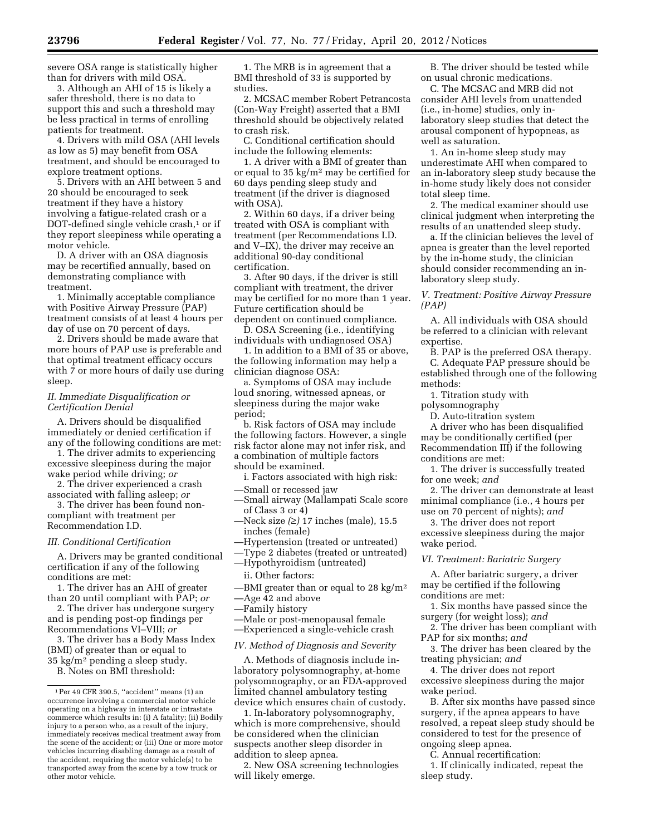severe OSA range is statistically higher than for drivers with mild OSA.

3. Although an AHI of 15 is likely a safer threshold, there is no data to support this and such a threshold may be less practical in terms of enrolling patients for treatment.

4. Drivers with mild OSA (AHI levels as low as 5) may benefit from OSA treatment, and should be encouraged to explore treatment options.

5. Drivers with an AHI between 5 and 20 should be encouraged to seek treatment if they have a history involving a fatigue-related crash or a DOT-defined single vehicle crash,<sup>1</sup> or if they report sleepiness while operating a motor vehicle.

D. A driver with an OSA diagnosis may be recertified annually, based on demonstrating compliance with treatment.

1. Minimally acceptable compliance with Positive Airway Pressure (PAP) treatment consists of at least 4 hours per day of use on 70 percent of days.

2. Drivers should be made aware that more hours of PAP use is preferable and that optimal treatment efficacy occurs with 7 or more hours of daily use during sleep.

#### *II. Immediate Disqualification or Certification Denial*

A. Drivers should be disqualified immediately or denied certification if any of the following conditions are met:

1. The driver admits to experiencing excessive sleepiness during the major wake period while driving; *or* 

2. The driver experienced a crash associated with falling asleep; *or* 

3. The driver has been found noncompliant with treatment per Recommendation I.D.

#### *III. Conditional Certification*

A. Drivers may be granted conditional certification if any of the following conditions are met:

1. The driver has an AHI of greater than 20 until compliant with PAP; *or* 

2. The driver has undergone surgery and is pending post-op findings per Recommendations VI–VIII; *or* 

3. The driver has a Body Mass Index (BMI) of greater than or equal to 35 kg/m2 pending a sleep study.

B. Notes on BMI threshold:

1. The MRB is in agreement that a BMI threshold of 33 is supported by studies.

2. MCSAC member Robert Petrancosta (Con-Way Freight) asserted that a BMI threshold should be objectively related to crash risk.

C. Conditional certification should include the following elements:

1. A driver with a BMI of greater than or equal to 35 kg/m2 may be certified for 60 days pending sleep study and treatment (if the driver is diagnosed with OSA).

2. Within 60 days, if a driver being treated with OSA is compliant with treatment (per Recommendations I.D. and V–IX), the driver may receive an additional 90-day conditional certification.

3. After 90 days, if the driver is still compliant with treatment, the driver may be certified for no more than 1 year. Future certification should be dependent on continued compliance.

D. OSA Screening (i.e., identifying individuals with undiagnosed OSA)

1. In addition to a BMI of 35 or above, the following information may help a clinician diagnose OSA:

a. Symptoms of OSA may include loud snoring, witnessed apneas, or sleepiness during the major wake period;

b. Risk factors of OSA may include the following factors. However, a single risk factor alone may not infer risk, and a combination of multiple factors should be examined.

i. Factors associated with high risk:

- —Small or recessed jaw
- —Small airway (Mallampati Scale score of Class 3 or 4)
- —Neck size *(*≥*)* 17 inches (male), 15.5 inches (female)
- —Hypertension (treated or untreated)
- —Type 2 diabetes (treated or untreated)
- —Hypothyroidism (untreated)
- ii. Other factors:

—BMI greater than or equal to 28 kg/m<sup>2</sup>

- —Age 42 and above
- —Family history
- —Male or post-menopausal female
- —Experienced a single-vehicle crash

## *IV. Method of Diagnosis and Severity*

A. Methods of diagnosis include inlaboratory polysomnography, at-home polysomnography, or an FDA-approved limited channel ambulatory testing device which ensures chain of custody.

1. In-laboratory polysomnography, which is more comprehensive, should be considered when the clinician suspects another sleep disorder in addition to sleep apnea.

2. New OSA screening technologies will likely emerge.

B. The driver should be tested while on usual chronic medications.

C. The MCSAC and MRB did not consider AHI levels from unattended (i.e., in-home) studies, only inlaboratory sleep studies that detect the arousal component of hypopneas, as well as saturation.

1. An in-home sleep study may underestimate AHI when compared to an in-laboratory sleep study because the in-home study likely does not consider total sleep time.

2. The medical examiner should use clinical judgment when interpreting the results of an unattended sleep study.

a. If the clinician believes the level of apnea is greater than the level reported by the in-home study, the clinician should consider recommending an inlaboratory sleep study.

*V. Treatment: Positive Airway Pressure (PAP)* 

A. All individuals with OSA should be referred to a clinician with relevant expertise.

B. PAP is the preferred OSA therapy. C. Adequate PAP pressure should be established through one of the following methods:

1. Titration study with

polysomnography

D. Auto-titration system

A driver who has been disqualified may be conditionally certified (per Recommendation III) if the following conditions are met:

1. The driver is successfully treated for one week; *and* 

2. The driver can demonstrate at least minimal compliance (i.e., 4 hours per use on 70 percent of nights); *and* 

3. The driver does not report excessive sleepiness during the major wake period.

#### *VI. Treatment: Bariatric Surgery*

A. After bariatric surgery, a driver may be certified if the following conditions are met:

1. Six months have passed since the surgery (for weight loss); *and* 

2. The driver has been compliant with PAP for six months; *and* 

3. The driver has been cleared by the treating physician; *and* 

4. The driver does not report excessive sleepiness during the major wake period.

B. After six months have passed since surgery, if the apnea appears to have resolved, a repeat sleep study should be considered to test for the presence of ongoing sleep apnea.

C. Annual recertification:

1. If clinically indicated, repeat the sleep study.

<sup>1</sup>Per 49 CFR 390.5, ''accident'' means (1) an occurrence involving a commercial motor vehicle operating on a highway in interstate or intrastate commerce which results in: (i) A fatality; (ii) Bodily injury to a person who, as a result of the injury, immediately receives medical treatment away from the scene of the accident; or (iii) One or more motor vehicles incurring disabling damage as a result of the accident, requiring the motor vehicle(s) to be transported away from the scene by a tow truck or other motor vehicle.